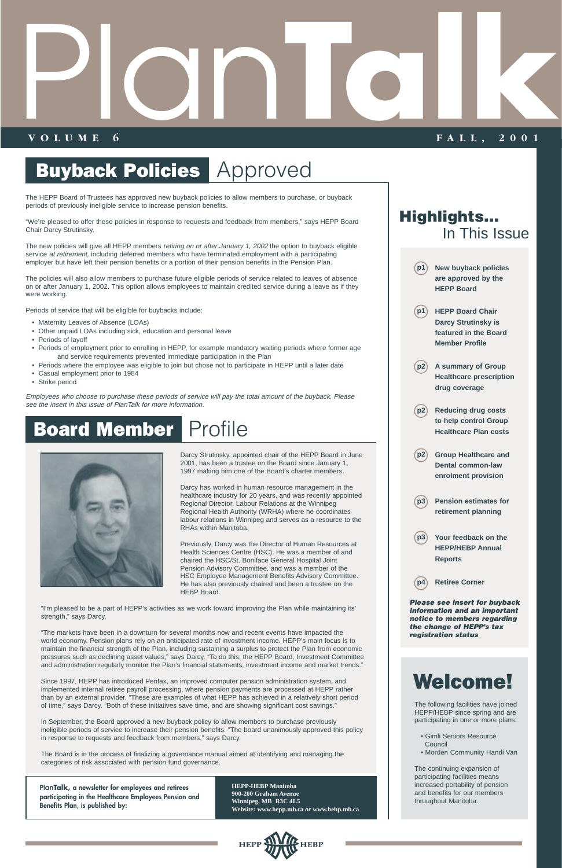# **Buyback Policies | Approved**

The HEPP Board of Trustees has approved new buyback policies to allow members to purchase, or buyback periods of previously ineligible service to increase pension benefits.

"We're pleased to offer these policies in response to requests and feedback from members," says HEPP Board Chair Darcy Strutinsky.

The new policies will give all HEPP members retiring on or after January 1, 2002 the option to buyback eligible service at retirement, including deferred members who have terminated employment with a participating employer but have left their pension benefits or a portion of their pension benefits in the Pension Plan.

The policies will also allow members to purchase future eligible periods of service related to leaves of absence on or after January 1, 2002. This option allows employees to maintain credited service during a leave as if they were working.

Periods of service that will be eligible for buybacks include:

- Maternity Leaves of Absence (LOAs)
- Other unpaid LOAs including sick, education and personal leave
- Periods of layoff
- Periods of employment prior to enrolling in HEPP, for example mandatory waiting periods where former age and service requirements prevented immediate participation in the Plan
- Periods where the employee was eligible to join but chose not to participate in HEPP until a later date
- Casual employment prior to 1984
- Strike period

Employees who choose to purchase these periods of service will pay the total amount of the buyback. Please see the insert in this issue of PlanTalk for more information.

# Board Member Profile



**p1**

**p1**

**p2**

**p2**

**p2**

**p3**

**p3**

**p4**

The following facilities have joined HEPP/HEBP since spring and are participating in one or more plans:

- Gimli Seniors Resource Council
- Morden Community Handi Van

The continuing expansion of participating facilities means increased portability of pension and benefits for our members throughout Manitoba.

# Welcome!

**New buyback policies are approved by the** 

**HEPP Board** 

**HEPP Board Chair Darcy Strutinsky is featured in the Board**

**Member Profile** 

**A summary of Group Healthcare prescription**

**drug coverage** 

**Reducing drug costs to help control Group Healthcare Plan costs** 

**Group Healthcare and Dental common-law enrolment provision** 

**Pension estimates for retirement planning** 

**Your feedback on the HEPP/HEBP Annual**

**Reports** 

**Retiree Corner** 

Darcy Strutinsky, appointed chair of the HEPP Board in June 2001, has been a trustee on the Board since January 1, 1997 making him one of the Board's charter members.

Darcy has worked in human resource management in the healthcare industry for 20 years, and was recently appointed Regional Director, Labour Relations at the Winnipeg Regional Health Authority (WRHA) where he coordinates labour relations in Winnipeg and serves as a resource to the RHAs within Manitoba.

Previously, Darcy was the Director of Human Resources at Health Sciences Centre (HSC). He was a member of and chaired the HSC/St. Boniface General Hospital Joint Pension Advisory Committee, and was a member of the HSC Employee Management Benefits Advisory Committee. He has also previously chaired and been a trustee on the HEBP Board.

"I'm pleased to be a part of HEPP's activities as we work toward improving the Plan while maintaining its' strength," says Darcy.

"The markets have been in a downturn for several months now and recent events have impacted the

# **VOLUME 6 FALL, 2001** Planta Religion

world economy. Pension plans rely on an anticipated rate of investment income. HEPP's main focus is to maintain the financial strength of the Plan, including sustaining a surplus to protect the Plan from economic pressures such as declining asset values," says Darcy. "To do this, the HEPP Board, Investment Committee and administration regularly monitor the Plan's financial statements, investment income and market trends."

Since 1997, HEPP has introduced Penfax, an improved computer pension administration system, and implemented internal retiree payroll processing, where pension payments are processed at HEPP rather than by an external provider. "These are examples of what HEPP has achieved in a relatively short period of time," says Darcy. "Both of these initiatives save time, and are showing significant cost savings."

In September, the Board approved a new buyback policy to allow members to purchase previously ineligible periods of service to increase their pension benefits. "The board unanimously approved this policy in response to requests and feedback from members," says Darcy.

The Board is in the process of finalizing a governance manual aimed at identifying and managing the categories of risk associated with pension fund governance.

**PlanTalk, a newsletter for employees and retirees participating in the Healthcare Employees Pension and Benefits Plan, is published by:**

**HEPP-HEBP Manitoba 900-200 Graham Avenue Winnipeg, MB R3C 4L5 Website: www.hepp.mb.ca** *or* **www.hebp.mb.ca**



**Highlights...**

In This Issue

**Please see insert for buyback information and an important notice to members regarding the change of HEPP's tax** 

**registration status**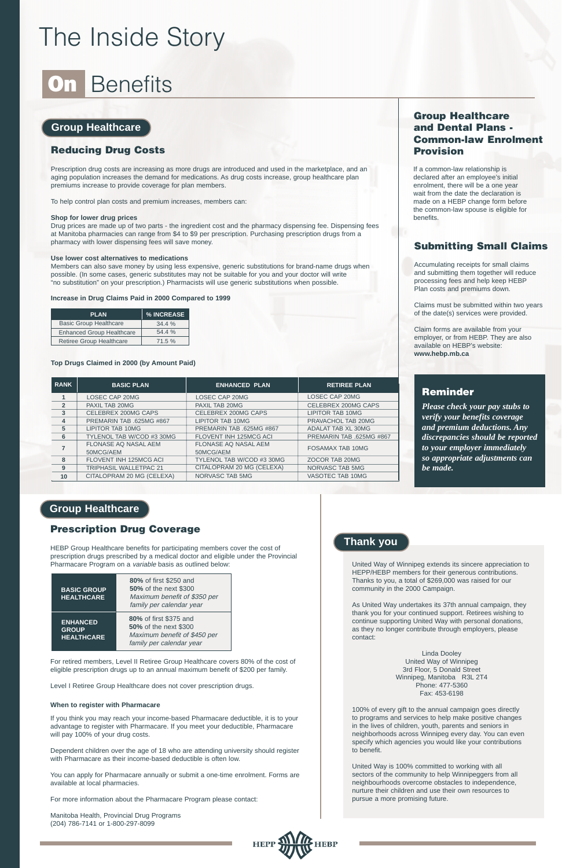# The Inside Story

# **On Benefits**

## **Group Healthcare**

### **Group Healthcare**

### **Thank you**

### **Reducing Drug Costs**

Prescription drug costs are increasing as more drugs are introduced and used in the marketplace, and an aging population increases the demand for medications. As drug costs increase, group healthcare plan premiums increase to provide coverage for plan members.

To help control plan costs and premium increases, members can:

#### **Shop for lower drug prices**

Drug prices are made up of two parts - the ingredient cost and the pharmacy dispensing fee. Dispensing fees at Manitoba pharmacies can range from \$4 to \$9 per prescription. Purchasing prescription drugs from a pharmacy with lower dispensing fees will save money.

#### **Use lower cost alternatives to medications**

Members can also save money by using less expensive, generic substitutions for brand-name drugs when possible. (In some cases, generic substitutes may not be suitable for you and your doctor will write "no substitution" on your prescription.) Pharmacists will use generic substitutions when possible.

#### **Increase in Drug Claims Paid in 2000 Compared to 1999**

#### **Top Drugs Claimed in 2000 (by Amount Paid)**

### **Group Healthcare and Dental Plans - Common-law Enrolment Provision**

### **Prescription Drug Coverage**

HEBP Group Healthcare benefits for participating members cover the cost of prescription drugs prescribed by a medical doctor and eligible under the Provincial Pharmacare Program on a variable basis as outlined below:

For retired members, Level II Retiree Group Healthcare covers 80% of the cost of eligible prescription drugs up to an annual maximum benefit of \$200 per family.

Level I Retiree Group Healthcare does not cover prescription drugs.

#### **When to register with Pharmacare**

If you think you may reach your income-based Pharmacare deductible, it is to your advantage to register with Pharmacare. If you meet your deductible, Pharmacare will pay 100% of your drug costs.

Dependent children over the age of 18 who are attending university should register with Pharmacare as their income-based deductible is often low.

You can apply for Pharmacare annually or submit a one-time enrolment. Forms are available at local pharmacies.

For more information about the Pharmacare Program please contact:

Manitoba Health, Provincial Drug Programs (204) 786-7141 or 1-800-297-8099



If a common-law relationship is declared after an employee's initial enrolment, there will be a one year wait from the date the declaration is made on a HEBP change form before the common-law spouse is eligible for benefits.

### **Submitting Small Claims**

Accumulating receipts for small claims and submitting them together will reduce processing fees and help keep HEBP Plan costs and premiums down.

Claims must be submitted within two years of the date(s) services were provided.

Claim forms are available from your employer, or from HEBP. They are also available on HEBP's website: **www.hebp.mb.ca**

### **Reminder**

*Please check your pay stubs to verify your benefits coverage and premium deductions. Any discrepancies should be reported to your employer immediately so appropriate adjustments can be made.*

United Way of Winnipeg extends its sincere appreciation to HEPP/HEBP members for their generous contributions. Thanks to you, a total of \$269,000 was raised for our community in the 2000 Campaign.

As United Way undertakes its 37th annual campaign, they thank you for your continued support. Retirees wishing to continue supporting United Way with personal donations, as they no longer contribute through employers, please contact:

Linda Dooley United Way of Winnipeg 3rd Floor, 5 Donald Street Winnipeg, Manitoba R3L 2T4 Phone: 477-5360 Fax: 453-6198

100% of every gift to the annual campaign goes directly to programs and services to help make positive changes in the lives of children, youth, parents and seniors in neighborhoods across Winnipeg every day. You can even specify which agencies you would like your contributions to benefit.

United Way is 100% committed to working with all sectors of the community to help Winnipeggers from all neighbourhoods overcome obstacles to independence, nurture their children and use their own resources to pursue a more promising future.

| <b>PLAN</b>                      | <b>% INCREASE</b> |
|----------------------------------|-------------------|
| <b>Basic Group Healthcare</b>    | 34.4%             |
| <b>Enhanced Group Healthcare</b> | 54.4%             |
| Retiree Group Healthcare         | 71.5%             |

| <b>BASIC GROUP</b><br><b>HEALTHCARE</b>              | <b>80%</b> of first \$250 and<br>50% of the next \$300<br>Maximum benefit of \$350 per<br>family per calendar year |
|------------------------------------------------------|--------------------------------------------------------------------------------------------------------------------|
| <b>ENHANCED</b><br><b>GROUP</b><br><b>HEALTHCARE</b> | 80% of first \$375 and<br>50% of the next \$300<br>Maximum benefit of \$450 per                                    |

| <b>RANK</b>   | <b>BASIC PLAN</b>                        | <b>ENHANCED PLAN</b>                     | <b>RETIREE PLAN</b>       |
|---------------|------------------------------------------|------------------------------------------|---------------------------|
|               | <b>LOSEC CAP 20MG</b>                    | <b>LOSEC CAP 20MG</b>                    | <b>LOSEC CAP 20MG</b>     |
| $\mathcal{P}$ | PAXIL TAB 20MG                           | PAXIL TAB 20MG                           | CELEBREX 200MG CAPS       |
| 3             | CELEBREX 200MG CAPS                      | CELEBREX 200MG CAPS                      | <b>LIPITOR TAB 10MG</b>   |
| 4             | PREMARIN TAB .625MG #867                 | <b>LIPITOR TAB 10MG</b>                  | PRAVACHOL TAB 20MG        |
| 5             | <b>LIPITOR TAB 10MG</b>                  | PREMARIN TAB .625MG #867                 | <b>ADALAT TAB XL 30MG</b> |
| 6             | TYLENOL TAB W/COD #3 30MG                | <b>FLOVENT INH 125MCG ACI</b>            | PREMARIN TAB .625MG #867  |
|               | <b>FLONASE AQ NASAL AEM</b><br>50MCG/AEM | <b>FLONASE AQ NASAL AEM</b><br>50MCG/AEM | <b>FOSAMAX TAB 10MG</b>   |
| 8             | <b>FLOVENT INH 125MCG ACI</b>            | TYLENOL TAB W/COD #3 30MG                | ZOCOR TAB 20MG            |
| 9             | <b>TRIPHASIL WALLETPAC 21</b>            | CITALOPRAM 20 MG (CELEXA)                | <b>NORVASC TAB 5MG</b>    |
| 10            | CITALOPRAM 20 MG (CELEXA)                | NORVASC TAB 5MG                          | VASOTEC TAB 10MG          |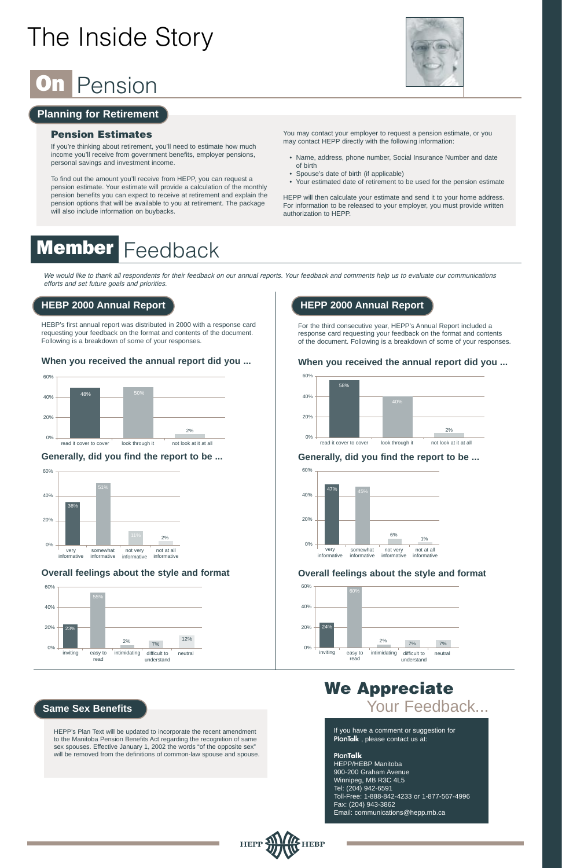# The Inside Story

# Pension

### **Planning for Retirement**

### **Pension Estimates**

If you're thinking about retirement, you'll need to estimate how much income you'll receive from government benefits, employer pensions, personal savings and investment income.

To find out the amount you'll receive from HEPP, you can request a pension estimate. Your estimate will provide a calculation of the monthly pension benefits you can expect to receive at retirement and explain the pension options that will be available to you at retirement. The package will also include information on buybacks.

### You may contact your employer to request a pension estimate, or you may contact HEPP directly with the following information:

- Name, address, phone number, Social Insurance Number and date of birth
- Spouse's date of birth (if applicable)
- Your estimated date of retirement to be used for the pension estimate

HEPP will then calculate your estimate and send it to your home address. For information to be released to your employer, you must provide written authorization to HEPP.

# **Member Feedback**

HEBP's first annual report was distributed in 2000 with a response card requesting your feedback on the format and contents of the document. Following is a breakdown of some of your responses.

### **When you received the annual report did you ...**

### **Generally, did you find the report to be ...**

### **Overall feelings about the style and format**

# **We Appreciate** Your Feedback...

For the third consecutive year, HEPP's Annual Report included a response card requesting your feedback on the format and contents of the document. Following is a breakdown of some of your responses.





### **When you received the annual report did you ...**



### **Generally, did you find the report to be ...**

### **Overall feelings about the style and format**

### **HEBP 2000 Annual Report**

### **Same Sex Benefits**

### **HEPP 2000 Annual Report**









We would like to thank all respondents for their feedback on our annual reports. Your feedback and comments help us to evaluate our communications efforts and set future goals and priorities.

HEPP's Plan Text will be updated to incorporate the recent amendment to the Manitoba Pension Benefits Act regarding the recognition of same sex spouses. Effective January 1, 2002 the words "of the opposite sex" will be removed from the definitions of common-law spouse and spouse. If you have a comment or suggestion for **PlanTalk** , please contact us at:

**PlanTalk** HEPP/HEBP Manitoba 900-200 Graham Avenue Winnipeg, MB R3C 4L5 Tel: (204) 942-6591 Toll-Free: 1-888-842-4233 or 1-877-567-4996 Fax: (204) 943-3862 Email: communications@hepp.mb.ca

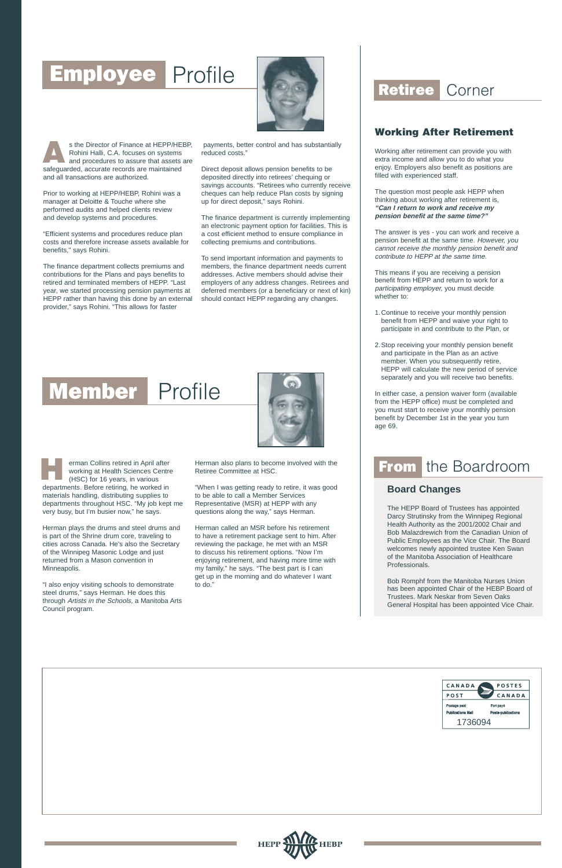# Employee Profile



s the Director of Finance at HEPP/HEBP, Rohini Halli, C.A. focuses on systems and procedures to assure that assets are s the Director of Finance at HEPP/HE<br>Rohini Halli, C.A. focuses on systems<br>and procedures to assure that assets<br>safeguarded, accurate records are maintained and all transactions are authorized.

Prior to working at HEPP/HEBP, Rohini was a manager at Deloitte & Touche where she performed audits and helped clients review and develop systems and procedures.

"Efficient systems and procedures reduce plan costs and therefore increase assets available for benefits," says Rohini.

The finance department collects premiums and contributions for the Plans and pays benefits to retired and terminated members of HEPP. "Last year, we started processing pension payments at HEPP rather than having this done by an external provider," says Rohini. "This allows for faster

payments, better control and has substantially reduced costs."

Direct deposit allows pension benefits to be deposited directly into retirees' chequing or savings accounts. "Retirees who currently receive cheques can help reduce Plan costs by signing up for direct deposit," says Rohini.

The finance department is currently implementing an electronic payment option for facilities. This is a cost efficient method to ensure compliance in collecting premiums and contributions.

To send important information and payments to members, the finance department needs current addresses. Active members should advise their employers of any address changes. Retirees and deferred members (or a beneficiary or next of kin) should contact HEPP regarding any changes.

# Member Profile



Herman plays the drums and steel drums and is part of the Shrine drum core, traveling to cities across Canada. He's also the Secretary of the Winnipeg Masonic Lodge and just returned from a Mason convention in Minneapolis.

"I also enjoy visiting schools to demonstrate steel drums," says Herman. He does this through Artists in the Schools, a Manitoba Arts Council program.

erman Collins retired in April after working at Health Sciences Centre (HSC) for 16 years, in various departments. Before retiring, he worked in materials handling, distributing supplies to departments throughout HSC. "My job kept me very busy, but I'm busier now," he says. **H**

Herman also plans to become involved with the Retiree Committee at HSC.

"When I was getting ready to retire, it was good to be able to call a Member Services Representative (MSR) at HEPP with any questions along the way," says Herman.

Herman called an MSR before his retirement to have a retirement package sent to him. After reviewing the package, he met with an MSR to discuss his retirement options. "Now I'm enjoying retirement, and having more time with my family," he says. "The best part is I can get up in the morning and do whatever I want to do."

# Retiree Corner

### **Working After Retirement**

Working after retirement can provide you with extra income and allow you to do what you enjoy. Employers also benefit as positions are filled with experienced staff.

The question most people ask HEPP when thinking about working after retirement is, **"Can I return to work and receive my pension benefit at the same time?"**

The answer is yes - you can work and receive a pension benefit at the same time. However, you cannot receive the monthly pension benefit and contribute to HEPP at the same time.

This means if you are receiving a pension benefit from HEPP and return to work for a participating employer, you must decide whether to:

- 1.Continue to receive your monthly pension benefit from HEPP and waive your right to participate in and contribute to the Plan, or
- 2.Stop receiving your monthly pension benefit and participate in the Plan as an active member. When you subsequently retire, HEPP will calculate the new period of service separately and you will receive two benefits.

In either case, a pension waiver form (available from the HEPP office) must be completed and you must start to receive your monthly pension benefit by December 1st in the year you turn age 69.

# From the Boardroom

### **Board Changes**

The HEPP Board of Trustees has appointed Darcy Strutinsky from the Winnipeg Regional Health Authority as the 2001/2002 Chair and Bob Malazdrewich from the Canadian Union of Public Employees as the Vice Chair. The Board welcomes newly appointed trustee Ken Swan of the Manitoba Association of Healthcare Professionals.

Bob Romphf from the Manitoba Nurses Union has been appointed Chair of the HEBP Board of Trustees. Mark Neskar from Seven Oaks General Hospital has been appointed Vice Chair.

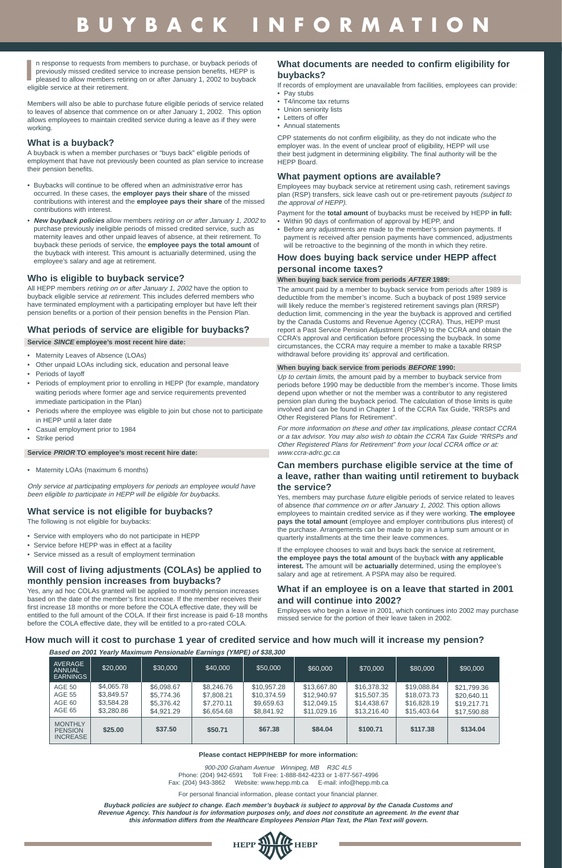Members will also be able to purchase future eligible periods of service related to leaves of absence that commence on or after January 1, 2002. This option allows employees to maintain credited service during a leave as if they were working.

### **What is a buyback?**

A buyback is when a member purchases or "buys back" eligible periods of employment that have not previously been counted as plan service to increase their pension benefits.

- Buybacks will continue to be offered when an administrative error has occurred. In these cases, the **employer pays their share** of the missed contributions with interest and the **employee pays their share** of the missed contributions with interest.
- **New buyback policies** allow members retiring on or after January 1, 2002 to purchase previously ineligible periods of missed credited service, such as maternity leaves and other unpaid leaves of absence, at their retirement. To buyback these periods of service, the **employee pays the total amount** of the buyback with interest. This amount is actuarially determined, using the employee's salary and age at retirement.

### **Who is eligible to buyback service?**

All HEPP members retiring on or after January 1, 2002 have the option to buyback eligible service at retirement. This includes deferred members who have terminated employment with a participating employer but have left their pension benefits or a portion of their pension benefits in the Pension Plan.

### **What periods of service are eligible for buybacks?**

**Service SINCE employee's most recent hire date:**

- Maternity Leaves of Absence (LOAs)
- Other unpaid LOAs including sick, education and personal leave
- Periods of layoff
- Periods of employment prior to enrolling in HEPP (for example, mandatory waiting periods where former age and service requirements prevented immediate participation in the Plan)
- Periods where the employee was eligible to join but chose not to participate in HEPP until a later date
- Casual employment prior to 1984
- Strike period

### **Service PRIOR TO employee's most recent hire date:**

• Maternity LOAs (maximum 6 months)

Only service at participating employers for periods an employee would have been eligible to participate in HEPP will be eligible for buybacks.

### **What service is not eligible for buybacks?**

The following is not eligible for buybacks:

- Service with employers who do not participate in HEPP
- Service before HEPP was in effect at a facility
- Service missed as a result of employment termination

Up to certain limits, the amount paid by a member to buyback service from periods before 1990 may be deductible from the member's income. Those limits depend upon whether or not the member was a contributor to any registered pension plan during the buyback period. The calculation of those limits is quite involved and can be found in Chapter 1 of the CCRA Tax Guide, "RRSPs and Other Registered Plans for Retirement".

### **Will cost of living adjustments (COLAs) be applied to monthly pension increases from buybacks?**

Yes, any ad hoc COLAs granted will be applied to monthly pension increases based on the date of the member's first increase. If the member receives their first increase 18 months or more before the COLA effective date, they will be entitled to the full amount of the COLA. If their first increase is paid 6-18 months before the COLA effective date, they will be entitled to a pro-rated COLA.

### **What documents are needed to confirm eligibility for buybacks?**

If records of employment are unavailable from facilities, employees can provide: • Pay stubs

- T4/income tax returns
- Union seniority lists
- Letters of offer
- Annual statements

CPP statements do not confirm eligibility, as they do not indicate who the employer was. In the event of unclear proof of eligibility, HEPP will use their best judgment in determining eligibility. The final authority will be the HEPP Board.

### **What payment options are available?**

Employees may buyback service at retirement using cash, retirement savings plan (RSP) transfers, sick leave cash out or pre-retirement payouts (subject to the approval of HEPP).

Payment for the **total amount** of buybacks must be received by HEPP **in full:**

n response to requests from members to purchase, or buyback periods of previously missed credited service to increase pension benefits, HEPP is pleased to allow members retiring on or after January 1, 2002 to buyback eligible service at their retirement. **I**

- Within 90 days of confirmation of approval by HEPP, and • Before any adjustments are made to the member's pension payments. If payment is received after pension payments have commenced, adjustments
- will be retroactive to the beginning of the month in which they retire.

### **How does buying back service under HEPP affect personal income taxes?**

### **When buying back service from periods AFTER 1989:**

The amount paid by a member to buyback service from periods after 1989 is deductible from the member's income. Such a buyback of post 1989 service will likely reduce the member's registered retirement savings plan (RRSP) deduction limit, commencing in the year the buyback is approved and certified by the Canada Customs and Revenue Agency (CCRA). Thus, HEPP must report a Past Service Pension Adjustment (PSPA) to the CCRA and obtain the CCRA's approval and certification before processing the buyback. In some circumstances, the CCRA may require a member to make a taxable RRSP withdrawal before providing its' approval and certification.

### **When buying back service from periods BEFORE 1990:**

For more information on these and other tax implications, please contact CCRA or a tax advisor. You may also wish to obtain the CCRA Tax Guide "RRSPs and Other Registered Plans for Retirement" from your local CCRA office or at: www.ccra-adrc.gc.ca

### **Can members purchase eligible service at the time of a leave, rather than waiting until retirement to buyback the service?**

Yes, members may purchase future eligible periods of service related to leaves of absence that commence on or after January 1, 2002. This option allows employees to maintain credited service as if they were working. **The employee pays the total amount** (employee and employer contributions plus interest) of the purchase. Arrangements can be made to pay in a lump sum amount or in quarterly installments at the time their leave commences.

If the employee chooses to wait and buys back the service at retirement, **the employee pays the total amount** of the buyback **with any applicable interest.** The amount will be **actuarially** determined, using the employee's salary and age at retirement. A PSPA may also be required.

### **What if an employee is on a leave that started in 2001 and will continue into 2002?**

Employees who begin a leave in 2001, which continues into 2002 may purchase missed service for the portion of their leave taken in 2002.

# **BUYBACK INFORMATION**

#### **Please contact HEPP/HEBP for more information:**

900-200 Graham Avenue Winnipeg, MB R3C 4L5 Phone: (204) 942-6591 Toll Free: 1-888-842-4233 or 1-877-567-4996 Fax: (204) 943-3862 Website: www.hepp.mb.ca E-mail: info@hepp.mb.ca

For personal financial information, please contact your financial planner.

**Buyback policies are subject to change. Each member's buyback is subject to approval by the Canada Customs and Revenue Agency. This handout is for information purposes only, and does not constitute an agreement. In the event that this information differs from the Healthcare Employees Pension Plan Text, the Plan Text will govern.**



**Based on 2001 Yearly Maximum Pensionable Earnings (YMPE) of \$38,300**

| <b>AVERAGE</b><br><b>ANNUAL</b><br><b>EARNINGS</b>  | \$20,000                                             | \$30,000                                             | \$40,000                                             | \$50,000                                               | \$60,000                                                 | \$70,000                                                 | \$80,000                                                 | \$90,000                                                 |
|-----------------------------------------------------|------------------------------------------------------|------------------------------------------------------|------------------------------------------------------|--------------------------------------------------------|----------------------------------------------------------|----------------------------------------------------------|----------------------------------------------------------|----------------------------------------------------------|
| <b>AGE 50</b><br><b>AGE 55</b><br>AGE 60<br>AGE 65  | \$4,065.78<br>\$3,849.57<br>\$3,584.28<br>\$3,280.86 | \$6,098.67<br>\$5,774.36<br>\$5,376.42<br>\$4,921.29 | \$8,246,76<br>\$7,808.21<br>\$7,270.11<br>\$6,654,68 | \$10,957.28<br>\$10,374.59<br>\$9,659.63<br>\$8,841.92 | \$13,667.80<br>\$12,940.97<br>\$12,049.15<br>\$11,029.16 | \$16,378.32<br>\$15,507.35<br>\$14,438.67<br>\$13,216,40 | \$19,088.84<br>\$18,073.73<br>\$16,828.19<br>\$15,403.64 | \$21,799.36<br>\$20,640.11<br>\$19,217.71<br>\$17,590.88 |
| <b>MONTHLY</b><br><b>PENSION</b><br><b>INCREASE</b> | \$25.00                                              | \$37.50                                              | \$50.71                                              | \$67.38                                                | \$84.04                                                  | \$100.71                                                 | \$117.38                                                 | \$134.04                                                 |

#### **How much will it cost to purchase 1 year of credited service and how much will it increase my pension?**